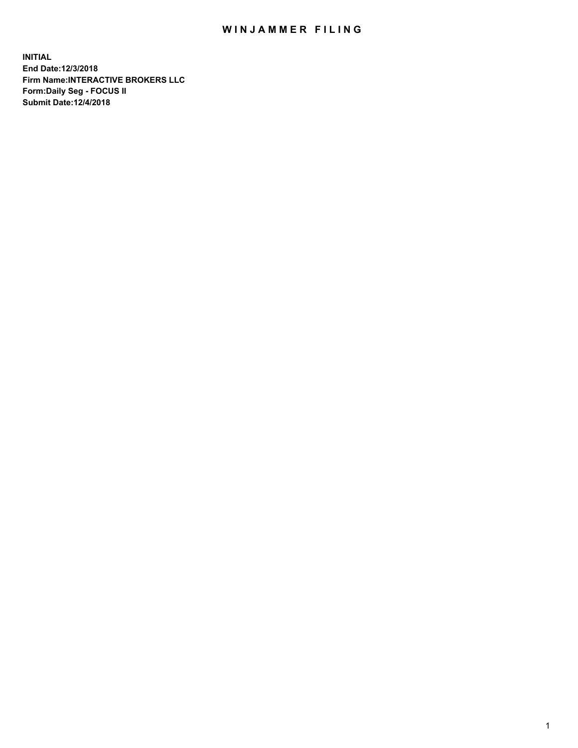## WIN JAMMER FILING

**INITIAL End Date:12/3/2018 Firm Name:INTERACTIVE BROKERS LLC Form:Daily Seg - FOCUS II Submit Date:12/4/2018**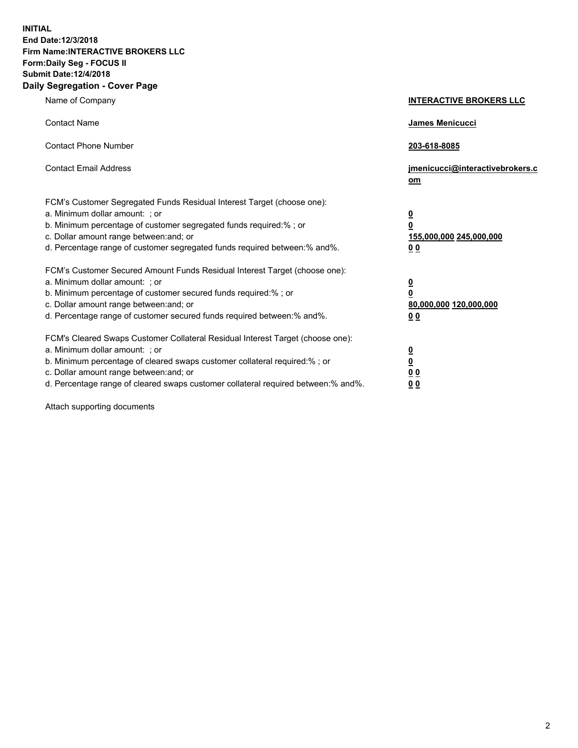**INITIAL End Date:12/3/2018 Firm Name:INTERACTIVE BROKERS LLC Form:Daily Seg - FOCUS II Submit Date:12/4/2018 Daily Segregation - Cover Page**

| Name of Company                                                                                                                                                                                                                                                                                                                | <b>INTERACTIVE BROKERS LLC</b>                                                                  |
|--------------------------------------------------------------------------------------------------------------------------------------------------------------------------------------------------------------------------------------------------------------------------------------------------------------------------------|-------------------------------------------------------------------------------------------------|
| <b>Contact Name</b>                                                                                                                                                                                                                                                                                                            | James Menicucci                                                                                 |
| <b>Contact Phone Number</b>                                                                                                                                                                                                                                                                                                    | 203-618-8085                                                                                    |
| <b>Contact Email Address</b>                                                                                                                                                                                                                                                                                                   | jmenicucci@interactivebrokers.c<br>om                                                           |
| FCM's Customer Segregated Funds Residual Interest Target (choose one):<br>a. Minimum dollar amount: ; or<br>b. Minimum percentage of customer segregated funds required:% ; or<br>c. Dollar amount range between: and; or<br>d. Percentage range of customer segregated funds required between:% and%.                         | $\overline{\mathbf{0}}$<br>$\overline{\mathbf{0}}$<br>155,000,000 245,000,000<br>0 <sub>0</sub> |
| FCM's Customer Secured Amount Funds Residual Interest Target (choose one):<br>a. Minimum dollar amount: ; or<br>b. Minimum percentage of customer secured funds required:% ; or<br>c. Dollar amount range between: and; or<br>d. Percentage range of customer secured funds required between:% and%.                           | $\overline{\mathbf{0}}$<br>0<br>80,000,000 120,000,000<br>0 <sub>0</sub>                        |
| FCM's Cleared Swaps Customer Collateral Residual Interest Target (choose one):<br>a. Minimum dollar amount: ; or<br>b. Minimum percentage of cleared swaps customer collateral required:% ; or<br>c. Dollar amount range between: and; or<br>d. Percentage range of cleared swaps customer collateral required between:% and%. | $\overline{\mathbf{0}}$<br><u>0</u><br>$\underline{0}$ $\underline{0}$<br>00                    |

Attach supporting documents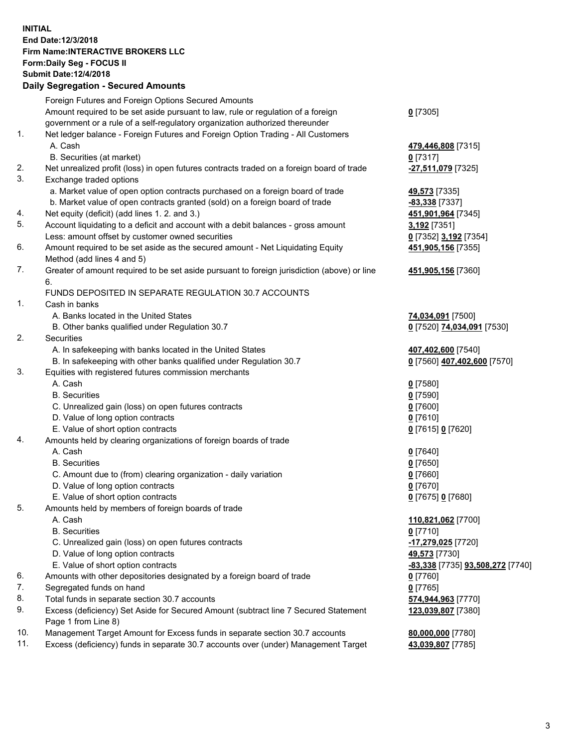## **INITIAL End Date:12/3/2018 Firm Name:INTERACTIVE BROKERS LLC Form:Daily Seg - FOCUS II Submit Date:12/4/2018 Daily Segregation - Secured Amounts**

|                | Daily Segregation - Secured Amounts                                                         |                                  |
|----------------|---------------------------------------------------------------------------------------------|----------------------------------|
|                | Foreign Futures and Foreign Options Secured Amounts                                         |                                  |
|                | Amount required to be set aside pursuant to law, rule or regulation of a foreign            | $0$ [7305]                       |
|                | government or a rule of a self-regulatory organization authorized thereunder                |                                  |
| $\mathbf{1}$ . | Net ledger balance - Foreign Futures and Foreign Option Trading - All Customers             |                                  |
|                | A. Cash                                                                                     | 479,446,808 [7315]               |
|                | B. Securities (at market)                                                                   | $0$ [7317]                       |
| 2.             | Net unrealized profit (loss) in open futures contracts traded on a foreign board of trade   | -27,511,079 [7325]               |
| 3.             | Exchange traded options                                                                     |                                  |
|                | a. Market value of open option contracts purchased on a foreign board of trade              | 49,573 [7335]                    |
|                | b. Market value of open contracts granted (sold) on a foreign board of trade                | -83,338 [7337]                   |
| 4.             | Net equity (deficit) (add lines 1.2. and 3.)                                                | 451,901,964 [7345]               |
| 5.             | Account liquidating to a deficit and account with a debit balances - gross amount           | 3,192 [7351]                     |
|                | Less: amount offset by customer owned securities                                            | 0 [7352] 3,192 [7354]            |
| 6.             | Amount required to be set aside as the secured amount - Net Liquidating Equity              | 451,905,156 [7355]               |
|                | Method (add lines 4 and 5)                                                                  |                                  |
| 7.             | Greater of amount required to be set aside pursuant to foreign jurisdiction (above) or line | 451,905,156 [7360]               |
|                | 6.                                                                                          |                                  |
|                | FUNDS DEPOSITED IN SEPARATE REGULATION 30.7 ACCOUNTS                                        |                                  |
| 1.             | Cash in banks                                                                               |                                  |
|                | A. Banks located in the United States                                                       | 74,034,091 [7500]                |
|                | B. Other banks qualified under Regulation 30.7                                              | 0 [7520] 74,034,091 [7530]       |
| 2.             | Securities                                                                                  |                                  |
|                | A. In safekeeping with banks located in the United States                                   | 407,402,600 [7540]               |
|                | B. In safekeeping with other banks qualified under Regulation 30.7                          | 0 [7560] 407,402,600 [7570]      |
| 3.             | Equities with registered futures commission merchants                                       |                                  |
|                | A. Cash                                                                                     | $0$ [7580]                       |
|                | <b>B.</b> Securities                                                                        | $0$ [7590]                       |
|                | C. Unrealized gain (loss) on open futures contracts                                         | $0$ [7600]                       |
|                | D. Value of long option contracts                                                           | $0$ [7610]                       |
|                | E. Value of short option contracts                                                          | 0 [7615] 0 [7620]                |
| 4.             | Amounts held by clearing organizations of foreign boards of trade                           |                                  |
|                | A. Cash                                                                                     | $0$ [7640]                       |
|                | <b>B.</b> Securities                                                                        | $0$ [7650]                       |
|                | C. Amount due to (from) clearing organization - daily variation                             | $0$ [7660]                       |
|                | D. Value of long option contracts                                                           | $0$ [7670]                       |
|                | E. Value of short option contracts                                                          | 0 [7675] 0 [7680]                |
| 5.             | Amounts held by members of foreign boards of trade                                          |                                  |
|                | A. Cash                                                                                     | 110,821,062 [7700]               |
|                | <b>B.</b> Securities                                                                        | $0$ [7710]                       |
|                | C. Unrealized gain (loss) on open futures contracts                                         | -17,279,025 [7720]               |
|                | D. Value of long option contracts                                                           | 49,573 [7730]                    |
|                | E. Value of short option contracts                                                          | -83,338 [7735] 93,508,272 [7740] |
| 6.             | Amounts with other depositories designated by a foreign board of trade                      | 0 [7760]                         |
| 7.             | Segregated funds on hand                                                                    | $0$ [7765]                       |
| 8.             | Total funds in separate section 30.7 accounts                                               | 574,944,963 [7770]               |
| 9.             | Excess (deficiency) Set Aside for Secured Amount (subtract line 7 Secured Statement         | 123,039,807 [7380]               |
|                | Page 1 from Line 8)                                                                         |                                  |
| 10.            | Management Target Amount for Excess funds in separate section 30.7 accounts                 | 80,000,000 [7780]                |
| 11.            | Excess (deficiency) funds in separate 30.7 accounts over (under) Management Target          | 43,039,807 [7785]                |
|                |                                                                                             |                                  |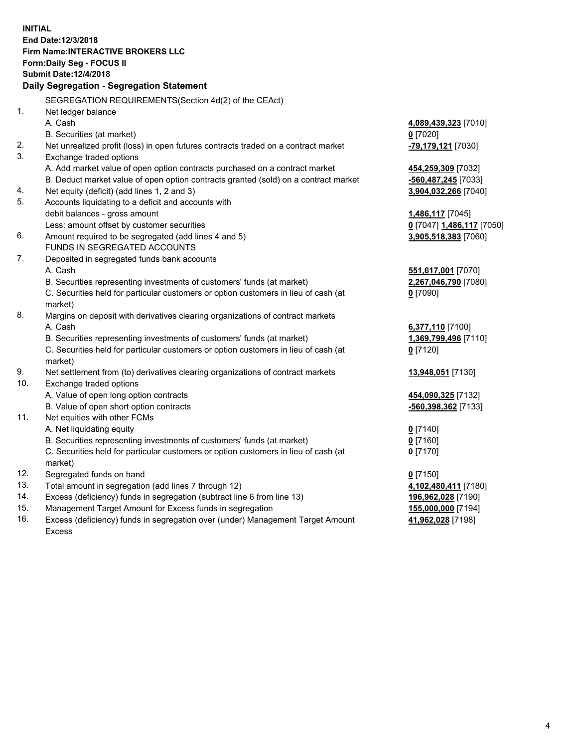**INITIAL End Date:12/3/2018 Firm Name:INTERACTIVE BROKERS LLC Form:Daily Seg - FOCUS II Submit Date:12/4/2018 Daily Segregation - Segregation Statement** SEGREGATION REQUIREMENTS(Section 4d(2) of the CEAct) 1. Net ledger balance A. Cash **4,089,439,323** [7010] B. Securities (at market) **0** [7020] 2. Net unrealized profit (loss) in open futures contracts traded on a contract market **-79,179,121** [7030] 3. Exchange traded options A. Add market value of open option contracts purchased on a contract market **454,259,309** [7032] B. Deduct market value of open option contracts granted (sold) on a contract market **-560,487,245** [7033] 4. Net equity (deficit) (add lines 1, 2 and 3) **3,904,032,266** [7040] 5. Accounts liquidating to a deficit and accounts with debit balances - gross amount **1,486,117** [7045] Less: amount offset by customer securities **0** [7047] **1,486,117** [7050] 6. Amount required to be segregated (add lines 4 and 5) **3,905,518,383** [7060] FUNDS IN SEGREGATED ACCOUNTS 7. Deposited in segregated funds bank accounts A. Cash **551,617,001** [7070] B. Securities representing investments of customers' funds (at market) **2,267,046,790** [7080] C. Securities held for particular customers or option customers in lieu of cash (at market) **0** [7090] 8. Margins on deposit with derivatives clearing organizations of contract markets A. Cash **6,377,110** [7100] B. Securities representing investments of customers' funds (at market) **1,369,799,496** [7110] C. Securities held for particular customers or option customers in lieu of cash (at market) **0** [7120] 9. Net settlement from (to) derivatives clearing organizations of contract markets **13,948,051** [7130] 10. Exchange traded options A. Value of open long option contracts **454,090,325** [7132] B. Value of open short option contracts **-560,398,362** [7133] 11. Net equities with other FCMs A. Net liquidating equity **0** [7140] B. Securities representing investments of customers' funds (at market) **0** [7160] C. Securities held for particular customers or option customers in lieu of cash (at market) **0** [7170] 12. Segregated funds on hand **0** [7150] 13. Total amount in segregation (add lines 7 through 12) **4,102,480,411** [7180] 14. Excess (deficiency) funds in segregation (subtract line 6 from line 13) **196,962,028** [7190] 15. Management Target Amount for Excess funds in segregation **155,000,000** [7194]

16. Excess (deficiency) funds in segregation over (under) Management Target Amount Excess

**41,962,028** [7198]